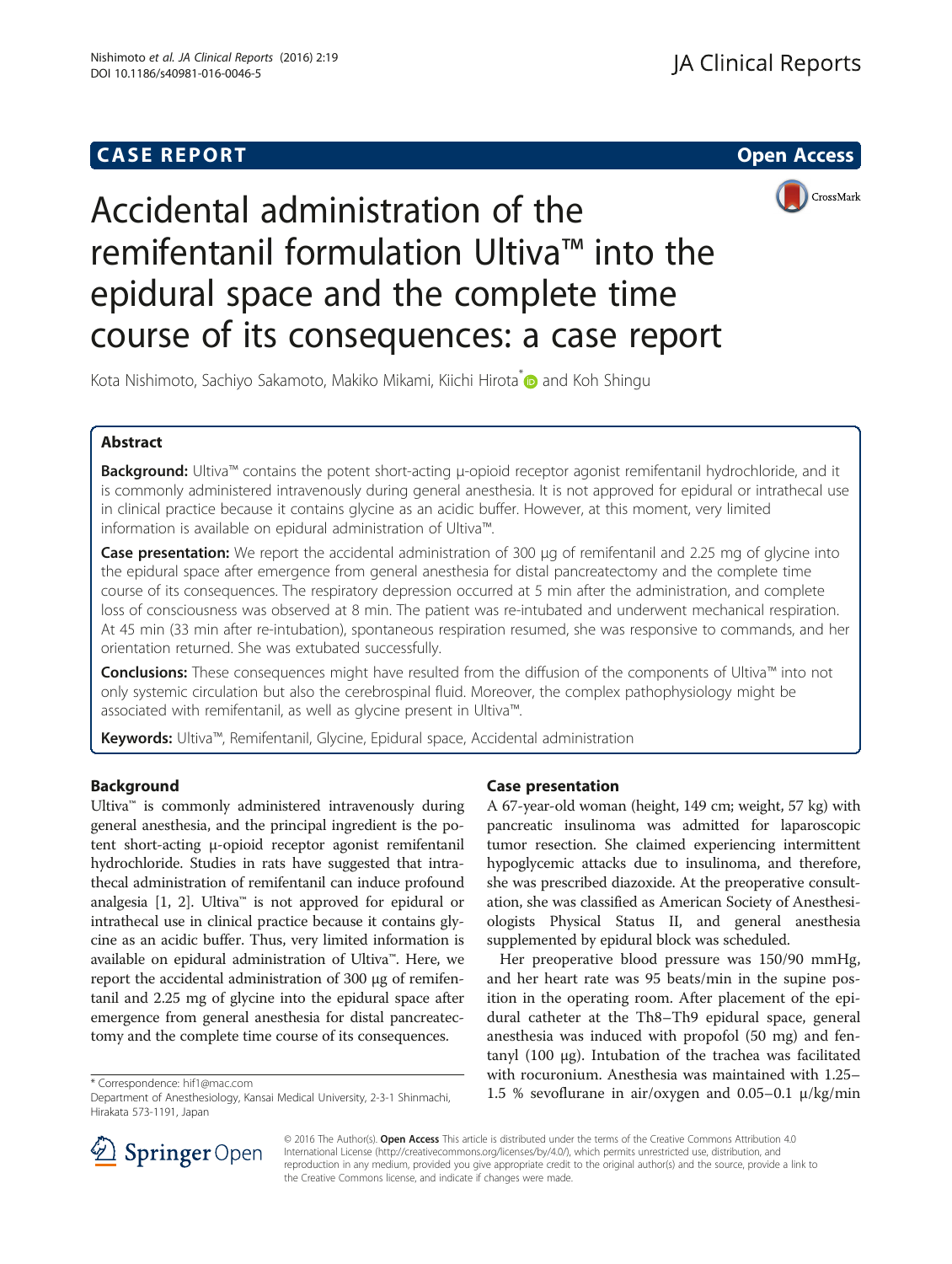## **CASE REPORT And SERVICE SERVICE SERVICE SERVICE SERVICE SERVICE SERVICE SERVICE SERVICE SERVICE SERVICE SERVICE**





# Accidental administration of the remifentanil formulation Ultiva™ into the epidural space and the complete time course of its consequences: a case report

Kota Nishimoto, Sachiyo Sakamoto, Makiko Mikami, Kiichi Hirota<sup>\*</sup> and Koh Shingu

## Abstract

Background: Ultiva™ contains the potent short-acting μ-opioid receptor agonist remifentanil hydrochloride, and it is commonly administered intravenously during general anesthesia. It is not approved for epidural or intrathecal use in clinical practice because it contains glycine as an acidic buffer. However, at this moment, very limited information is available on epidural administration of Ultiva™.

Case presentation: We report the accidental administration of 300 µg of remifentanil and 2.25 mg of glycine into the epidural space after emergence from general anesthesia for distal pancreatectomy and the complete time course of its consequences. The respiratory depression occurred at 5 min after the administration, and complete loss of consciousness was observed at 8 min. The patient was re-intubated and underwent mechanical respiration. At 45 min (33 min after re-intubation), spontaneous respiration resumed, she was responsive to commands, and her orientation returned. She was extubated successfully.

Conclusions: These consequences might have resulted from the diffusion of the components of Ultiva™ into not only systemic circulation but also the cerebrospinal fluid. Moreover, the complex pathophysiology might be associated with remifentanil, as well as glycine present in Ultiva™.

Keywords: Ultiva™, Remifentanil, Glycine, Epidural space, Accidental administration

### Background

Ultiva™ is commonly administered intravenously during general anesthesia, and the principal ingredient is the potent short-acting μ-opioid receptor agonist remifentanil hydrochloride. Studies in rats have suggested that intrathecal administration of remifentanil can induce profound analgesia [\[1, 2](#page-2-0)]. Ultiva<sup>™</sup> is not approved for epidural or intrathecal use in clinical practice because it contains glycine as an acidic buffer. Thus, very limited information is available on epidural administration of Ultiva™. Here, we report the accidental administration of 300 μg of remifentanil and 2.25 mg of glycine into the epidural space after emergence from general anesthesia for distal pancreatectomy and the complete time course of its consequences.

## Case presentation

A 67-year-old woman (height, 149 cm; weight, 57 kg) with pancreatic insulinoma was admitted for laparoscopic tumor resection. She claimed experiencing intermittent hypoglycemic attacks due to insulinoma, and therefore, she was prescribed diazoxide. At the preoperative consultation, she was classified as American Society of Anesthesiologists Physical Status II, and general anesthesia supplemented by epidural block was scheduled.

Her preoperative blood pressure was 150/90 mmHg, and her heart rate was 95 beats/min in the supine position in the operating room. After placement of the epidural catheter at the Th8–Th9 epidural space, general anesthesia was induced with propofol (50 mg) and fentanyl (100 μg). Intubation of the trachea was facilitated with rocuronium. Anesthesia was maintained with 1.25– \* Correspondence: [hif1@mac.com](mailto:hif1@mac.com)<br>Department of Anesthesiology, Kansai Medical University, 2-3-1 Shinmachi. <br>Department of Anesthesiology, Kansai Medical University, 2-3-1 Shinmachi. <br> **1.5 % sevoflurane in air/oxygen and 0.** 



© 2016 The Author(s). Open Access This article is distributed under the terms of the Creative Commons Attribution 4.0 International License ([http://creativecommons.org/licenses/by/4.0/\)](http://creativecommons.org/licenses/by/4.0/), which permits unrestricted use, distribution, and reproduction in any medium, provided you give appropriate credit to the original author(s) and the source, provide a link to the Creative Commons license, and indicate if changes were made.

Department of Anesthesiology, Kansai Medical University, 2-3-1 Shinmachi, Hirakata 573-1191, Japan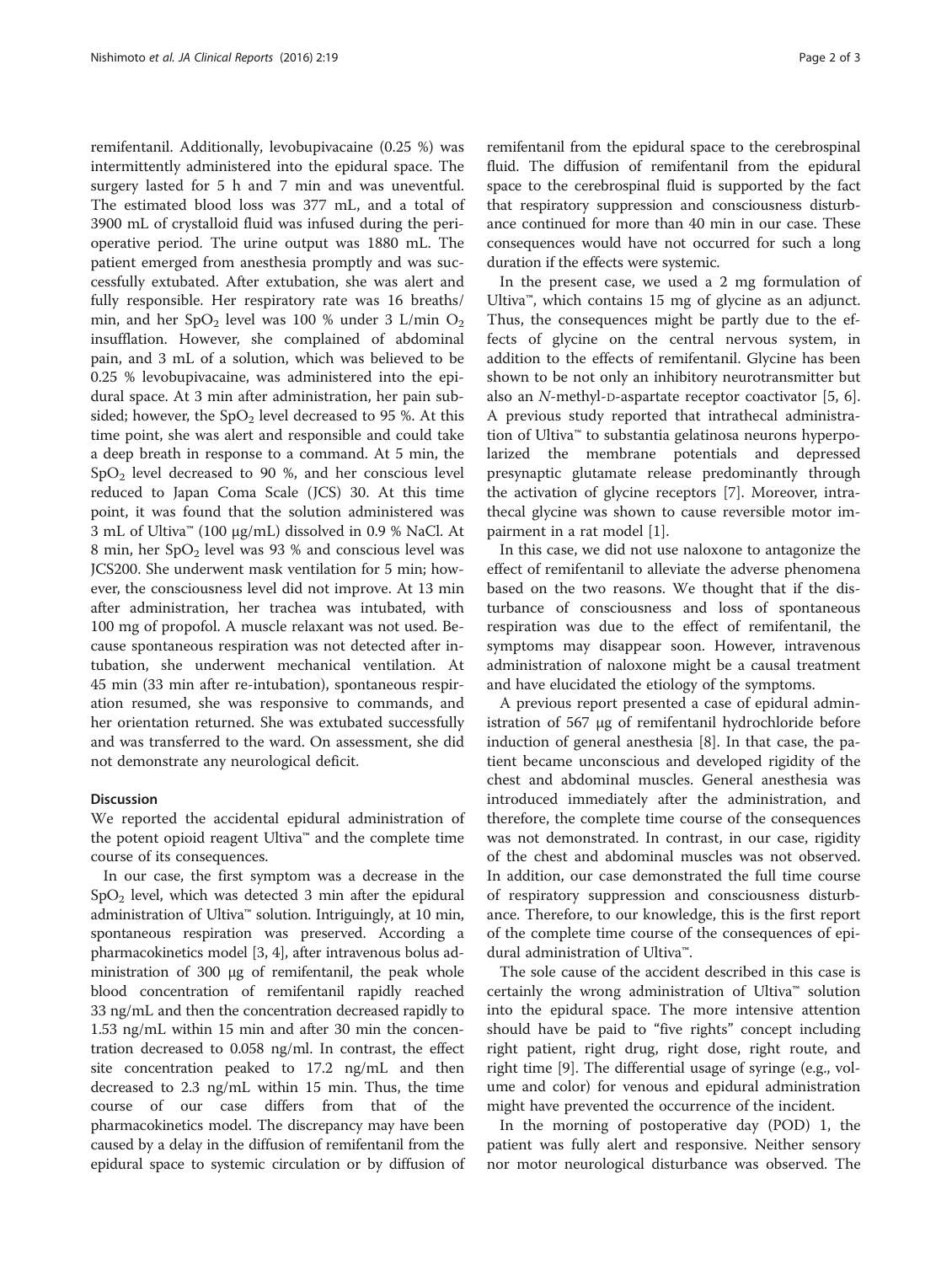remifentanil. Additionally, levobupivacaine (0.25 %) was intermittently administered into the epidural space. The surgery lasted for 5 h and 7 min and was uneventful. The estimated blood loss was 377 mL, and a total of 3900 mL of crystalloid fluid was infused during the perioperative period. The urine output was 1880 mL. The patient emerged from anesthesia promptly and was successfully extubated. After extubation, she was alert and fully responsible. Her respiratory rate was 16 breaths/ min, and her  $SpO<sub>2</sub>$  level was 100 % under 3 L/min  $O<sub>2</sub>$ insufflation. However, she complained of abdominal pain, and 3 mL of a solution, which was believed to be 0.25 % levobupivacaine, was administered into the epidural space. At 3 min after administration, her pain subsided; however, the  $SpO<sub>2</sub>$  level decreased to 95 %. At this time point, she was alert and responsible and could take a deep breath in response to a command. At 5 min, the  $SpO<sub>2</sub>$  level decreased to 90 %, and her conscious level reduced to Japan Coma Scale (JCS) 30. At this time point, it was found that the solution administered was 3 mL of Ultiva™ (100 μg/mL) dissolved in 0.9 % NaCl. At 8 min, her SpO<sub>2</sub> level was 93 % and conscious level was JCS200. She underwent mask ventilation for 5 min; however, the consciousness level did not improve. At 13 min after administration, her trachea was intubated, with 100 mg of propofol. A muscle relaxant was not used. Because spontaneous respiration was not detected after intubation, she underwent mechanical ventilation. At 45 min (33 min after re-intubation), spontaneous respiration resumed, she was responsive to commands, and her orientation returned. She was extubated successfully and was transferred to the ward. On assessment, she did not demonstrate any neurological deficit.

#### Discussion

We reported the accidental epidural administration of the potent opioid reagent Ultiva™ and the complete time course of its consequences.

In our case, the first symptom was a decrease in the  $SpO<sub>2</sub>$  level, which was detected 3 min after the epidural administration of Ultiva™ solution. Intriguingly, at 10 min, spontaneous respiration was preserved. According a pharmacokinetics model [[3, 4](#page-2-0)], after intravenous bolus administration of 300 μg of remifentanil, the peak whole blood concentration of remifentanil rapidly reached 33 ng/mL and then the concentration decreased rapidly to 1.53 ng/mL within 15 min and after 30 min the concentration decreased to 0.058 ng/ml. In contrast, the effect site concentration peaked to 17.2 ng/mL and then decreased to 2.3 ng/mL within 15 min. Thus, the time course of our case differs from that of the pharmacokinetics model. The discrepancy may have been caused by a delay in the diffusion of remifentanil from the epidural space to systemic circulation or by diffusion of remifentanil from the epidural space to the cerebrospinal fluid. The diffusion of remifentanil from the epidural space to the cerebrospinal fluid is supported by the fact that respiratory suppression and consciousness disturbance continued for more than 40 min in our case. These consequences would have not occurred for such a long duration if the effects were systemic.

In the present case, we used a 2 mg formulation of Ultiva™, which contains 15 mg of glycine as an adjunct. Thus, the consequences might be partly due to the effects of glycine on the central nervous system, in addition to the effects of remifentanil. Glycine has been shown to be not only an inhibitory neurotransmitter but also an N-methyl-D-aspartate receptor coactivator [[5, 6](#page-2-0)]. A previous study reported that intrathecal administration of Ultiva™ to substantia gelatinosa neurons hyperpolarized the membrane potentials and depressed presynaptic glutamate release predominantly through the activation of glycine receptors [[7\]](#page-2-0). Moreover, intrathecal glycine was shown to cause reversible motor impairment in a rat model [[1\]](#page-2-0).

In this case, we did not use naloxone to antagonize the effect of remifentanil to alleviate the adverse phenomena based on the two reasons. We thought that if the disturbance of consciousness and loss of spontaneous respiration was due to the effect of remifentanil, the symptoms may disappear soon. However, intravenous administration of naloxone might be a causal treatment and have elucidated the etiology of the symptoms.

A previous report presented a case of epidural administration of 567 μg of remifentanil hydrochloride before induction of general anesthesia [\[8](#page-2-0)]. In that case, the patient became unconscious and developed rigidity of the chest and abdominal muscles. General anesthesia was introduced immediately after the administration, and therefore, the complete time course of the consequences was not demonstrated. In contrast, in our case, rigidity of the chest and abdominal muscles was not observed. In addition, our case demonstrated the full time course of respiratory suppression and consciousness disturbance. Therefore, to our knowledge, this is the first report of the complete time course of the consequences of epidural administration of Ultiva™.

The sole cause of the accident described in this case is certainly the wrong administration of Ultiva™ solution into the epidural space. The more intensive attention should have be paid to "five rights" concept including right patient, right drug, right dose, right route, and right time [[9\]](#page-2-0). The differential usage of syringe (e.g., volume and color) for venous and epidural administration might have prevented the occurrence of the incident.

In the morning of postoperative day (POD) 1, the patient was fully alert and responsive. Neither sensory nor motor neurological disturbance was observed. The